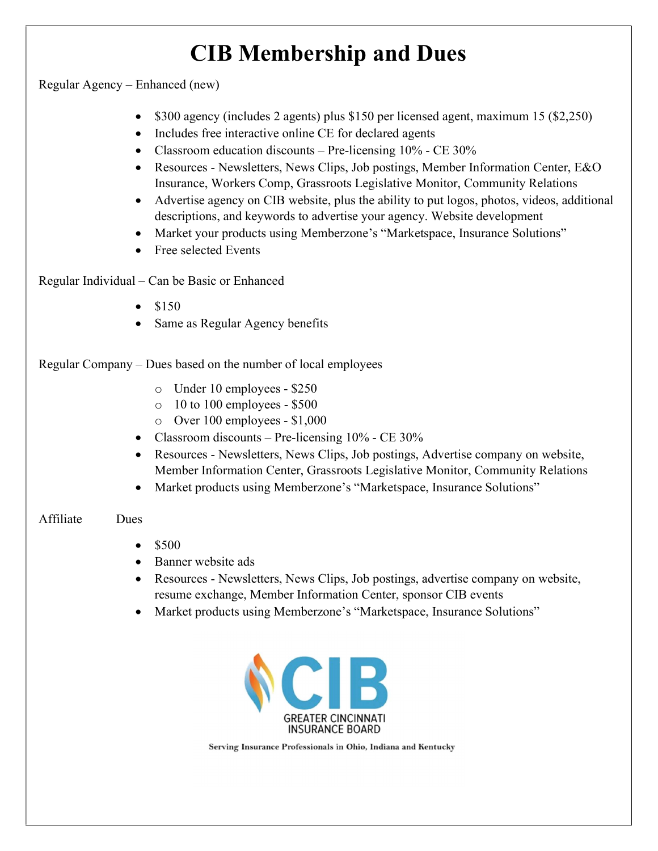# CIB Membership and Dues

Regular Agency – Enhanced (new)

- \$300 agency (includes 2 agents) plus \$150 per licensed agent, maximum 15 (\$2,250)
- Includes free interactive online CE for declared agents
- Classroom education discounts Pre-licensing 10% CE 30%
- Resources Newsletters, News Clips, Job postings, Member Information Center, E&O Insurance, Workers Comp, Grassroots Legislative Monitor, Community Relations
- Advertise agency on CIB website, plus the ability to put logos, photos, videos, additional descriptions, and keywords to advertise your agency. Website development
- Market your products using Memberzone's "Marketspace, Insurance Solutions"
- Free selected Events

Regular Individual – Can be Basic or Enhanced

- \$150
- Same as Regular Agency benefits

Regular Company – Dues based on the number of local employees

- o Under 10 employees \$250
- $\circ$  10 to 100 employees \$500
- o Over 100 employees \$1,000
- Classroom discounts Pre-licensing  $10\%$  CE 30%
- Resources Newsletters, News Clips, Job postings, Advertise company on website, Member Information Center, Grassroots Legislative Monitor, Community Relations
- Market products using Memberzone's "Marketspace, Insurance Solutions"

### Affiliate Dues

- $\bullet$  \$500
- Banner website ads
- Resources Newsletters, News Clips, Job postings, advertise company on website, resume exchange, Member Information Center, sponsor CIB events
- Market products using Memberzone's "Marketspace, Insurance Solutions"



Serving Insurance Professionals in Ohio, Indiana and Kentucky